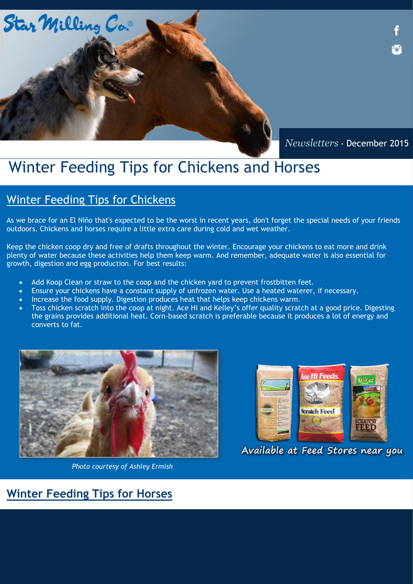

*Newsletters* - December 2015

# Winter Feeding Tips for Chickens and Horses

### Winter Feeding Tips for Chickens

As we brace for an El Niño that's expected to be the worst in recent years, don't forget the special needs of your friends outdoors. Chickens and horses require a little extra care during cold and wet weather.

Keep the chicken coop dry and free of drafts throughout the winter. Encourage your chickens to eat more and drink plenty of water because these activities help them keep warm. And remember, adequate water is also essential for growth, digestion and egg production. For best results:

- Add Koop Clean or straw to the coop and the chicken yard to prevent frostbitten feet.
- Ensure your chickens have a constant supply of unfrozen water. Use a heated waterer, if necessary.
- Increase the food supply. Digestion produces heat that helps keep chickens warm.
- Toss chicken scratch into the coop at night. Ace Hi and Kelley's offer quality scratch at a good price. Digesting the grains provides additional heat. Corn-based scratch is preferable because it produces a lot of energy and converts to fat.



*Photo courtesy of Ashley Ermish*



Available at Feed Stores near you

### **Winter Feeding Tips for Horses**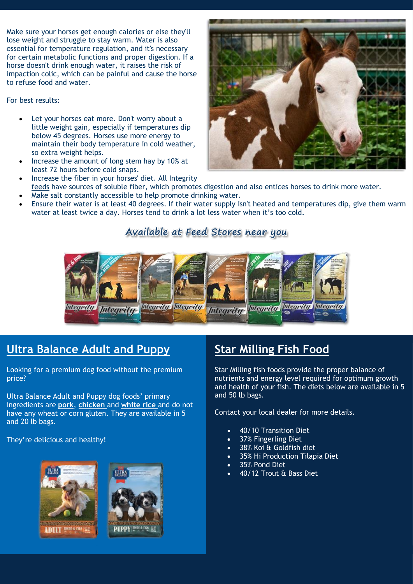Make sure your horses get enough calories or else they'll lose weight and struggle to stay warm. Water is also essential for temperature regulation, and it's necessary for certain metabolic functions and proper digestion. If a horse doesn't drink enough water, it raises the risk of impaction colic, which can be painful and cause the horse to refuse food and water.

#### For best results:

- Let your horses eat more. Don't worry about a little weight gain, especially if temperatures dip below 45 degrees. Horses use more energy to maintain their body temperature in cold weather, so extra weight helps.
- Increase the amount of long stem hay by 10% at least 72 hours before cold snaps.
- Increase the fiber in your horses' diet. All Integrity [feeds](http://www.starmilling.com/Products/Equine%20Products/Integrity%20Brochure.pdf) have sources of soluble fiber, which promotes digestion and also entices horses to drink more water.
- Make salt constantly accessible to help promote drinking water.
- Ensure their water is at least 40 degrees. If their water supply isn't heated and temperatures dip, give them warm water at least twice a day. Horses tend to drink a lot less water when it's too cold.

### Available at Feed Stores near you



### **Ultra Balance Adult and Puppy**

Looking for a premium dog food without the premium price?

Ultra Balance Adult and Puppy dog foods' primary ingredients are **pork**, **chicken** and **white rice** and do not have any wheat or corn gluten. They are available in 5 and 20 lb bags.

They're delicious and healthy!





## **Star Milling Fish Food**

Star Milling fish foods provide the proper balance of nutrients and energy level required for optimum growth and health of your fish. The diets below are available in 5 and 50 lb bags.

Contact your local dealer for more details.

- 40/10 Transition Diet
- 37% Fingerling Diet
- 38% Koi & Goldfish diet
- 35% Hi Production Tilapia Diet
- 35% Pond Diet
- 40/12 Trout & Bass Diet